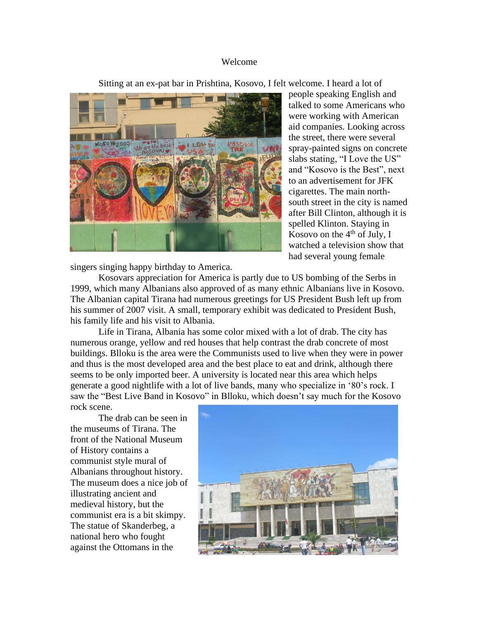## Welcome

Sitting at an ex-pat bar in Prishtina, Kosovo, I felt welcome. I heard a lot of



people speaking English and talked to some Americans who were working with American aid companies. Looking across the street, there were several spray-painted signs on concrete slabs stating, "I Love the US" and "Kosovo is the Best", next to an advertisement for JFK cigarettes. The main northsouth street in the city is named after Bill Clinton, although it is spelled Klinton. Staying in Kosovo on the  $4<sup>th</sup>$  of July, I watched a television show that had several young female

singers singing happy birthday to America.

Kosovars appreciation for America is partly due to US bombing of the Serbs in 1999, which many Albanians also approved of as many ethnic Albanians live in Kosovo. The Albanian capital Tirana had numerous greetings for US President Bush left up from his summer of 2007 visit. A small, temporary exhibit was dedicated to President Bush, his family life and his visit to Albania.

Life in Tirana, Albania has some color mixed with a lot of drab. The city has numerous orange, yellow and red houses that help contrast the drab concrete of most buildings. Blloku is the area were the Communists used to live when they were in power and thus is the most developed area and the best place to eat and drink, although there seems to be only imported beer. A university is located near this area which helps generate a good nightlife with a lot of live bands, many who specialize in '80's rock. I saw the "Best Live Band in Kosovo" in Blloku, which doesn't say much for the Kosovo rock scene.

The drab can be seen in the museums of Tirana. The front of the National Museum of History contains a communist style mural of Albanians throughout history. The museum does a nice job of illustrating ancient and medieval history, but the communist era is a bit skimpy. The statue of Skanderbeg, a national hero who fought against the Ottomans in the

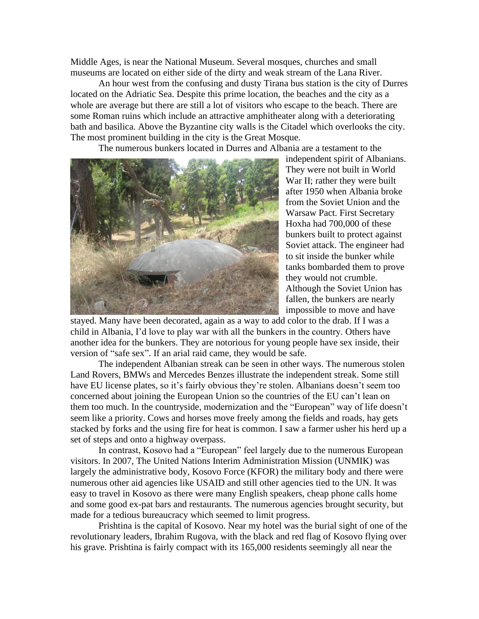Middle Ages, is near the National Museum. Several mosques, churches and small museums are located on either side of the dirty and weak stream of the Lana River.

An hour west from the confusing and dusty Tirana bus station is the city of Durres located on the Adriatic Sea. Despite this prime location, the beaches and the city as a whole are average but there are still a lot of visitors who escape to the beach. There are some Roman ruins which include an attractive amphitheater along with a deteriorating bath and basilica. Above the Byzantine city walls is the Citadel which overlooks the city. The most prominent building in the city is the Great Mosque.

The numerous bunkers located in Durres and Albania are a testament to the



independent spirit of Albanians. They were not built in World War II; rather they were built after 1950 when Albania broke from the Soviet Union and the Warsaw Pact. First Secretary Hoxha had 700,000 of these bunkers built to protect against Soviet attack. The engineer had to sit inside the bunker while tanks bombarded them to prove they would not crumble. Although the Soviet Union has fallen, the bunkers are nearly impossible to move and have

stayed. Many have been decorated, again as a way to add color to the drab. If I was a child in Albania, I'd love to play war with all the bunkers in the country. Others have another idea for the bunkers. They are notorious for young people have sex inside, their version of "safe sex". If an arial raid came, they would be safe.

The independent Albanian streak can be seen in other ways. The numerous stolen Land Rovers, BMWs and Mercedes Benzes illustrate the independent streak. Some still have EU license plates, so it's fairly obvious they're stolen. Albanians doesn't seem too concerned about joining the European Union so the countries of the EU can't lean on them too much. In the countryside, modernization and the "European" way of life doesn't seem like a priority. Cows and horses move freely among the fields and roads, hay gets stacked by forks and the using fire for heat is common. I saw a farmer usher his herd up a set of steps and onto a highway overpass.

In contrast, Kosovo had a "European" feel largely due to the numerous European visitors. In 2007, The United Nations Interim Administration Mission (UNMIK) was largely the administrative body, Kosovo Force (KFOR) the military body and there were numerous other aid agencies like USAID and still other agencies tied to the UN. It was easy to travel in Kosovo as there were many English speakers, cheap phone calls home and some good ex-pat bars and restaurants. The numerous agencies brought security, but made for a tedious bureaucracy which seemed to limit progress.

Prishtina is the capital of Kosovo. Near my hotel was the burial sight of one of the revolutionary leaders, Ibrahim Rugova, with the black and red flag of Kosovo flying over his grave. Prishtina is fairly compact with its 165,000 residents seemingly all near the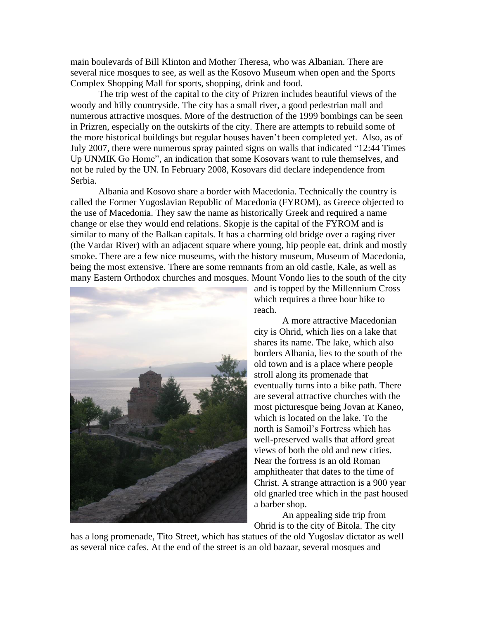main boulevards of Bill Klinton and Mother Theresa, who was Albanian. There are several nice mosques to see, as well as the Kosovo Museum when open and the Sports Complex Shopping Mall for sports, shopping, drink and food.

The trip west of the capital to the city of Prizren includes beautiful views of the woody and hilly countryside. The city has a small river, a good pedestrian mall and numerous attractive mosques. More of the destruction of the 1999 bombings can be seen in Prizren, especially on the outskirts of the city. There are attempts to rebuild some of the more historical buildings but regular houses haven't been completed yet. Also, as of July 2007, there were numerous spray painted signs on walls that indicated "12:44 Times Up UNMIK Go Home", an indication that some Kosovars want to rule themselves, and not be ruled by the UN. In February 2008, Kosovars did declare independence from Serbia.

Albania and Kosovo share a border with Macedonia. Technically the country is called the Former Yugoslavian Republic of Macedonia (FYROM), as Greece objected to the use of Macedonia. They saw the name as historically Greek and required a name change or else they would end relations. Skopje is the capital of the FYROM and is similar to many of the Balkan capitals. It has a charming old bridge over a raging river (the Vardar River) with an adjacent square where young, hip people eat, drink and mostly smoke. There are a few nice museums, with the history museum, Museum of Macedonia, being the most extensive. There are some remnants from an old castle, Kale, as well as many Eastern Orthodox churches and mosques. Mount Vondo lies to the south of the city



and is topped by the Millennium Cross which requires a three hour hike to reach.

A more attractive Macedonian city is Ohrid, which lies on a lake that shares its name. The lake, which also borders Albania, lies to the south of the old town and is a place where people stroll along its promenade that eventually turns into a bike path. There are several attractive churches with the most picturesque being Jovan at Kaneo, which is located on the lake. To the north is Samoil's Fortress which has well-preserved walls that afford great views of both the old and new cities. Near the fortress is an old Roman amphitheater that dates to the time of Christ. A strange attraction is a 900 year old gnarled tree which in the past housed a barber shop.

An appealing side trip from Ohrid is to the city of Bitola. The city

has a long promenade, Tito Street, which has statues of the old Yugoslav dictator as well as several nice cafes. At the end of the street is an old bazaar, several mosques and